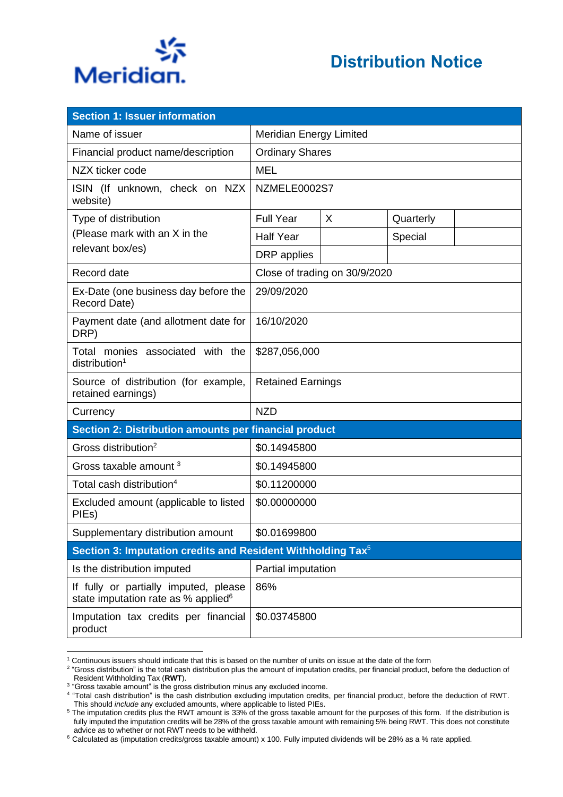

| <b>Section 1: Issuer information</b>                                                     |                                |   |           |  |
|------------------------------------------------------------------------------------------|--------------------------------|---|-----------|--|
| Name of issuer                                                                           | <b>Meridian Energy Limited</b> |   |           |  |
| Financial product name/description                                                       | <b>Ordinary Shares</b>         |   |           |  |
| NZX ticker code                                                                          | <b>MEL</b>                     |   |           |  |
| ISIN (If unknown, check on NZX<br>website)                                               | NZMELE0002S7                   |   |           |  |
| Type of distribution                                                                     | <b>Full Year</b>               | X | Quarterly |  |
| (Please mark with an X in the                                                            | <b>Half Year</b>               |   | Special   |  |
| relevant box/es)                                                                         | DRP applies                    |   |           |  |
| Record date                                                                              | Close of trading on 30/9/2020  |   |           |  |
| Ex-Date (one business day before the<br>Record Date)                                     | 29/09/2020                     |   |           |  |
| Payment date (and allotment date for<br>DRP)                                             | 16/10/2020                     |   |           |  |
| Total monies associated with the<br>distribution <sup>1</sup>                            | \$287,056,000                  |   |           |  |
| Source of distribution (for example,<br>retained earnings)                               | <b>Retained Earnings</b>       |   |           |  |
| Currency                                                                                 | <b>NZD</b>                     |   |           |  |
| Section 2: Distribution amounts per financial product                                    |                                |   |           |  |
| Gross distribution <sup>2</sup>                                                          | \$0.14945800                   |   |           |  |
| Gross taxable amount <sup>3</sup>                                                        | \$0.14945800                   |   |           |  |
| Total cash distribution <sup>4</sup>                                                     | \$0.11200000                   |   |           |  |
| Excluded amount (applicable to listed<br>PIEs)                                           | \$0.00000000                   |   |           |  |
| Supplementary distribution amount                                                        | \$0.01699800                   |   |           |  |
| Section 3: Imputation credits and Resident Withholding Tax <sup>5</sup>                  |                                |   |           |  |
| Is the distribution imputed                                                              | Partial imputation             |   |           |  |
| If fully or partially imputed, please<br>state imputation rate as % applied <sup>6</sup> | 86%                            |   |           |  |
| Imputation tax credits per financial<br>product                                          | \$0.03745800                   |   |           |  |

<sup>1</sup> Continuous issuers should indicate that this is based on the number of units on issue at the date of the form

 $^2$  "Gross distribution" is the total cash distribution plus the amount of imputation credits, per financial product, before the deduction of Resident Withholding Tax (**RWT**).

<sup>&</sup>lt;sup>3</sup> "Gross taxable amount" is the gross distribution minus any excluded income.

<sup>4</sup> "Total cash distribution" is the cash distribution excluding imputation credits, per financial product, before the deduction of RWT. This should *include* any excluded amounts, where applicable to listed PIEs.

<sup>&</sup>lt;sup>5</sup> The imputation credits plus the RWT amount is 33% of the gross taxable amount for the purposes of this form. If the distribution is fully imputed the imputation credits will be 28% of the gross taxable amount with remaining 5% being RWT. This does not constitute advice as to whether or not RWT needs to be withheld.

<sup>6</sup> Calculated as (imputation credits/gross taxable amount) x 100. Fully imputed dividends will be 28% as a % rate applied.